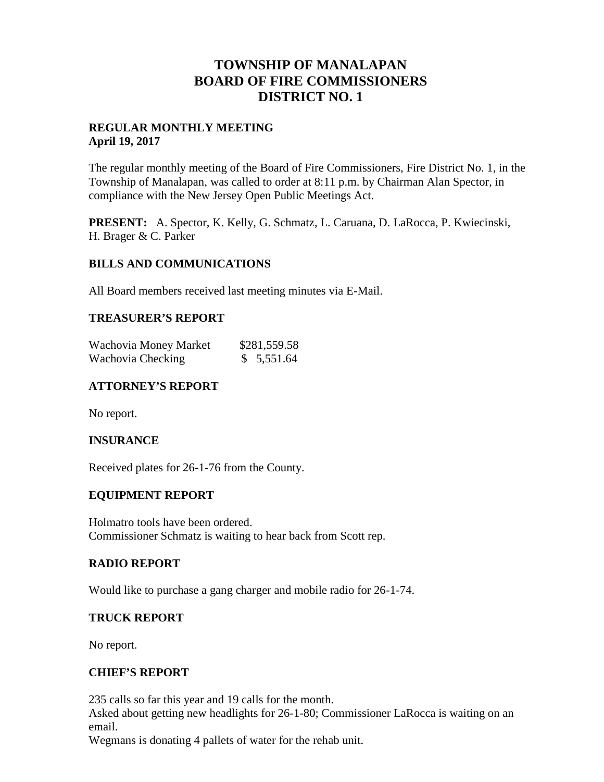## **TOWNSHIP OF MANALAPAN BOARD OF FIRE COMMISSIONERS DISTRICT NO. 1**

## **REGULAR MONTHLY MEETING April 19, 2017**

The regular monthly meeting of the Board of Fire Commissioners, Fire District No. 1, in the Township of Manalapan, was called to order at 8:11 p.m. by Chairman Alan Spector, in compliance with the New Jersey Open Public Meetings Act.

**PRESENT:** A. Spector, K. Kelly, G. Schmatz, L. Caruana, D. LaRocca, P. Kwiecinski, H. Brager & C. Parker

## **BILLS AND COMMUNICATIONS**

All Board members received last meeting minutes via E-Mail.

#### **TREASURER'S REPORT**

| Wachovia Money Market | \$281,559.58 |
|-----------------------|--------------|
| Wachovia Checking     | \$5,551.64   |

## **ATTORNEY'S REPORT**

No report.

## **INSURANCE**

Received plates for 26-1-76 from the County.

## **EQUIPMENT REPORT**

Holmatro tools have been ordered. Commissioner Schmatz is waiting to hear back from Scott rep.

#### **RADIO REPORT**

Would like to purchase a gang charger and mobile radio for 26-1-74.

#### **TRUCK REPORT**

No report.

#### **CHIEF'S REPORT**

235 calls so far this year and 19 calls for the month.

Asked about getting new headlights for 26-1-80; Commissioner LaRocca is waiting on an email.

Wegmans is donating 4 pallets of water for the rehab unit.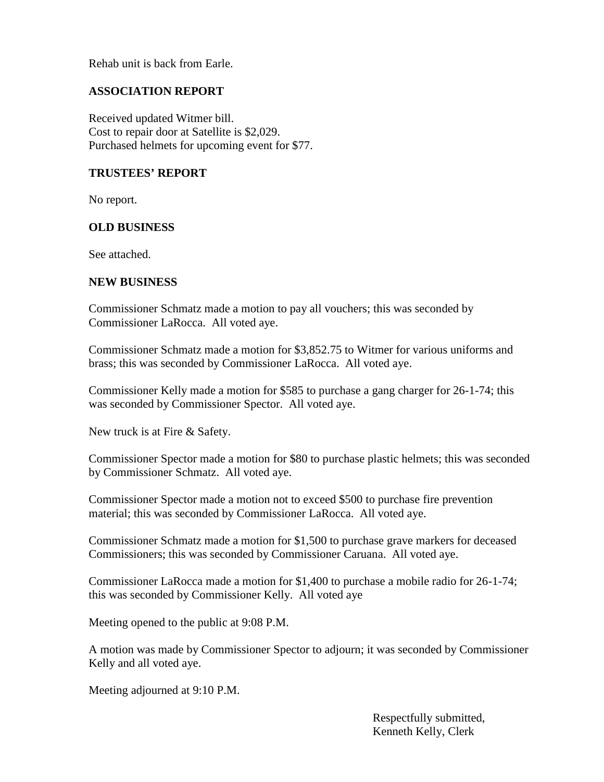Rehab unit is back from Earle.

## **ASSOCIATION REPORT**

Received updated Witmer bill. Cost to repair door at Satellite is \$2,029. Purchased helmets for upcoming event for \$77.

## **TRUSTEES' REPORT**

No report.

## **OLD BUSINESS**

See attached.

## **NEW BUSINESS**

Commissioner Schmatz made a motion to pay all vouchers; this was seconded by Commissioner LaRocca. All voted aye.

Commissioner Schmatz made a motion for \$3,852.75 to Witmer for various uniforms and brass; this was seconded by Commissioner LaRocca. All voted aye.

Commissioner Kelly made a motion for \$585 to purchase a gang charger for 26-1-74; this was seconded by Commissioner Spector. All voted aye.

New truck is at Fire & Safety.

Commissioner Spector made a motion for \$80 to purchase plastic helmets; this was seconded by Commissioner Schmatz. All voted aye.

Commissioner Spector made a motion not to exceed \$500 to purchase fire prevention material; this was seconded by Commissioner LaRocca. All voted aye.

Commissioner Schmatz made a motion for \$1,500 to purchase grave markers for deceased Commissioners; this was seconded by Commissioner Caruana. All voted aye.

Commissioner LaRocca made a motion for \$1,400 to purchase a mobile radio for 26-1-74; this was seconded by Commissioner Kelly. All voted aye

Meeting opened to the public at 9:08 P.M.

A motion was made by Commissioner Spector to adjourn; it was seconded by Commissioner Kelly and all voted aye.

Meeting adjourned at 9:10 P.M.

Respectfully submitted, Kenneth Kelly, Clerk